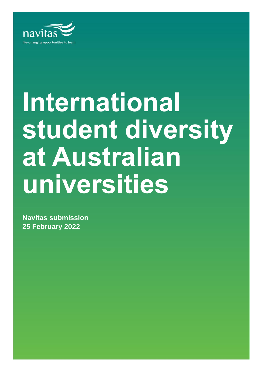

# **International student diversity at Australian universities**

**Navitas submission 25 February 2022**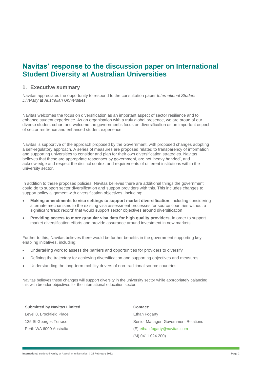## **Navitas' response to the discussion paper on International Student Diversity at Australian Universities**

## **1. Executive summary**

Navitas appreciates the opportunity to respond to the consultation paper *International Student Diversity at Australian Universities.* 

Navitas welcomes the focus on diversification as an important aspect of sector resilience and to enhance student experience. As an organisation with a truly global presence, we are proud of our diverse student cohort and welcome the government's focus on diversification as an important aspect of sector resilience and enhanced student experience.

Navitas is supportive of the approach proposed by the Government, with proposed changes adopting a self-regulatory approach. A series of measures are proposed related to transparency of information and supporting universities to consider and plan for their own diversification strategies. Navitas believes that these are appropriate responses by government, are not 'heavy handed', and acknowledge and respect the distinct context and requirements of different institutions within the university sector.

In addition to these proposed policies, Navitas believes there are additional things the government could do to support sector diversification and support providers with this. This includes changes to support policy alignment with diversification objectives, including:

- **Making amendments to visa settings to support market diversification,** including considering alternate mechanisms to the existing visa assessment processes for source countries without a significant 'track record' that would support sector objectives around diversification
- **Providing access to more granular visa data for high quality providers,** in order to support market diversification efforts and provide assurance around investment in new markets.

Further to this, Navitas believes there would be further benefits in the government supporting key enabling initiatives, including:

- Undertaking work to assess the barriers and opportunities for providers to diversify
- Defining the trajectory for achieving diversification and supporting objectives and measures
- Understanding the long-term mobility drivers of non-traditional source countries.

Navitas believes these changes will support diversity in the university sector while appropriately balancing this with broader objectives for the international education sector.

| <b>Submitted by Navitas Limited</b> | Contact:                             |
|-------------------------------------|--------------------------------------|
| Level 8, Brookfield Place           | Ethan Fogarty                        |
| 125 St Georges Terrace,             | Senior Manager, Government Relations |
| Perth WA 6000 Australia             | (E) ethan.fogarty@navitas.com        |
|                                     | (M) 0411 024 200)                    |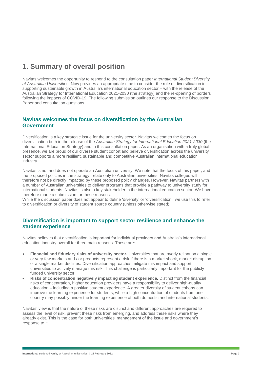# **1. Summary of overall position**

Navitas welcomes the opportunity to respond to the consultation paper *International Student Diversity at Australian Universities*. Now provides an appropriate time to consider the role of diversification in supporting sustainable growth in Australia's international education sector – with the release of the Australian Strategy for International Education 2021-2030 (the strategy) and the re-opening of borders following the impacts of COVID-19. The following submission outlines our response to the Discussion Paper and consultation questions.

## **Navitas welcomes the focus on diversification by the Australian Government**

Diversification is a key strategic issue for the university sector. Navitas welcomes the focus on diversification both in the release of the *Australian Strategy for International Education 2021-2030* (the International Education Strategy) and in this consultation paper. As an organisation with a truly global presence, we are proud of our diverse student cohort and believe diversification across the university sector supports a more resilient, sustainable and competitive Australian international education industry.

Navitas is not and does not operate an Australian university. We note that the focus of this paper, and the proposed policies in the strategy, relate only to Australian universities. Navitas colleges will therefore not be directly impacted by these proposed policy changes. However, Navitas partners with a number of Australian universities to deliver programs that provide a pathway to university study for international students. Navitas is also a key stakeholder in the international education sector. We have therefore made a submission for these reasons.

While the discussion paper does not appear to define 'diversity' or 'diversification', we use this to refer to diversification or diversity of student source country (unless otherwise stated).

## **Diversification is important to support sector resilience and enhance the student experience**

Navitas believes that diversification is important for individual providers and Australia's international education industry overall for three main reasons. These are:

- **Financial and fiduciary risks of university sector.** Universities that are overly reliant on a single or very few markets and / or products represent a risk if there is a market shock, market disruption or a single market declines. Diversification approaches mitigate this impact and support universities to actively manage this risk. This challenge is particularly important for the publicly funded university sector.
- **Risks of concentration negatively impacting student experience.** Distinct from the financial risks of concentration, higher education providers have a responsibility to deliver high-quality education – including a positive student experience. A greater diversity of student cohorts can improve the learning experience for students, while a high concentration of students from one country may possibly hinder the learning experience of both domestic and international students.

Navitas' view is that the nature of these risks are distinct and different approaches are required to assess the level of risk, prevent these risks from emerging, and address these risks where they already exist. This is the case for both universities' management of the issue and government's response to it.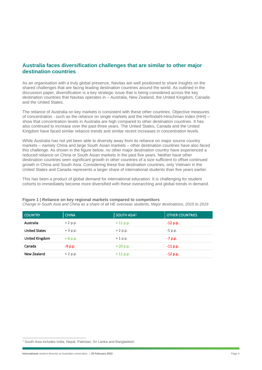## **Australia faces diversification challenges that are similar to other major destination countries**

As an organisation with a truly global presence, Navitas are well positioned to share insights on the shared challenges that are facing leading destination countries around the world. As outlined in the discussion paper, diversification is a key strategic issue that is being considered across the key destination countries that Navitas operates in – Australia, New Zealand, the United Kingdom, Canada and the United States.

The reliance of Australia on key markets is consistent with these other countries. Objective measures of concentration - such as the reliance on single markets and the Herfindahl-Hirschman Index (HHI) – show that concentration levels in Australia are high compared to other destination countries. It has also continued to increase over the past three years. The United States, Canada and the United Kingdom have faced similar reliance trends and similar recent increases in concentration levels.

While Australia has not yet been able to diversity away from its reliance on major source country markets – namely China and large South Asian markets – other destination countries have also faced this challenge. As shown in the figure below, no other major destination country have experienced a reduced reliance on China or South Asian markets in the past five years. Neither have other destination countries seen significant growth in other countries of a size sufficient to offset continued growth in China and South Asia. Considering these five destination countries, only Vietnam in the United States and Canada represents a larger share of international students than five years earlier.

This has been a product of global demand for international education. It is challenging for student cohorts to immediately become more diversified with these overarching and global trends in demand.

| <b>COUNTRY</b>       | <b>CHINA</b> | SOUTH ASIA <sup>1</sup> | <b>OTHER COUNTRIES</b> |
|----------------------|--------------|-------------------------|------------------------|
| Australia            | $+2$ p.p.    | $+11$ p.p.              | $-12$ p.p.             |
| <b>United States</b> | $+3$ p.p.    | $+2$ p.p.               | $-5$ p.p.              |
| United Kingdom       | $+6$ p.p.    | $+1$ p.p.               | $-7$ p.p.              |
| Canada               | $-9$ p.p.    | $+20 p.p.$              | $-11$ p.p.             |
| New Zealand          | $+2$ p.p.    | $+11$ p.p.              | $-12$ p.p.             |

#### **Figure 1 | Reliance on key regional markets compared to competitors**

*Change in South Asia and China as a share of all HE overseas students, Major destinations, 2015 to 2019*

<sup>&</sup>lt;sup>1</sup> South Asia includes India, Nepal, Pakistan, Sri Lanka and Bangladesh.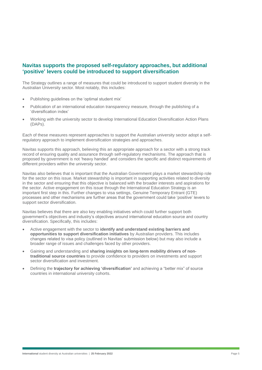## **Navitas supports the proposed self-regulatory approaches, but additional 'positive' levers could be introduced to support diversification**

The Strategy outlines a range of measures that could be introduced to support student diversity in the Australian University sector. Most notably, this includes:

- Publishing guidelines on the 'optimal student mix'
- Publication of an international education transparency measure, through the publishing of a 'diversification index'
- Working with the university sector to develop International Education Diversification Action Plans (DAPs).

Each of these measures represent approaches to support the Australian university sector adopt a selfregulatory approach to implement diversification strategies and approaches.

Navitas supports this approach, believing this an appropriate approach for a sector with a strong track record of ensuring quality and assurance through self-regulatory mechanisms. The approach that is proposed by government is not 'heavy handed' and considers the specific and distinct requirements of different providers within the university sector.

Navitas also believes that is important that the Australian Government plays a market stewardship role for the sector on this issue. Market stewardship is important in supporting activities related to diversity in the sector and ensuring that this objective is balanced with the broader interests and aspirations for the sector. Active engagement on this issue through the International Education Strategy is an important first step in this. Further changes to visa settings, Genuine Temporary Entrant (GTE) processes and other mechanisms are further areas that the government could take 'positive' levers to support sector diversification.

Navitas believes that there are also key enabling initiatives which could further support both government's objectives and industry's objectives around international education source and country diversification. Specifically, this includes:

- Active engagement with the sector to **identify and understand existing barriers and opportunities to support diversification initiatives** by Australian providers. This includes changes related to visa policy (outlined in Navitas' submission below) but may also include a broader range of issues and challenges faced by other providers.
- Gaining and understanding and **sharing insights on long-term mobility drivers of nontraditional source countries** to provide confidence to providers on investments and support sector diversification and investment.
- Defining the **trajectory for achieving 'diversification'** and achieving a "better mix" of source countries in international university cohorts.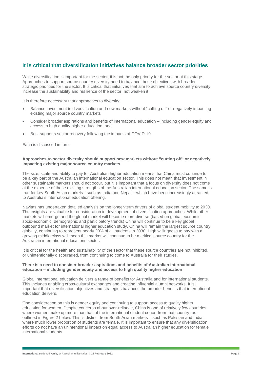## **It is critical that diversification initiatives balance broader sector priorities**

While diversification is important for the sector, it is not the only priority for the sector at this stage. Approaches to support source country diversity need to balance these objectives with broader strategic priorities for the sector. It is critical that initiatives that aim to achieve source country diversity increase the sustainability and resilience of the sector, not weaken it.

It is therefore necessary that approaches to diversity:

- Balance investment in diversification and new markets without "cutting off" or negatively impacting existing major source country markets
- Consider broader aspirations and benefits of international education including gender equity and access to high quality higher education, and
- Best supports sector recovery following the impacts of COVID-19.

Each is discussed in turn.

#### **Approaches to sector diversity should support new markets without "cutting off" or negatively impacting existing major source country markets**

The size, scale and ability to pay for Australian higher education means that China must continue to be a key part of the Australian international education sector. This does not mean that investment in other sustainable markets should not occur, but it is important that a focus on diversity does not come at the expense of these existing strengths of the Australian international education sector. The same is true for key South Asian markets - such as India and Nepal – which have been increasingly attracted to Australia's international education offering.

Navitas has undertaken detailed analysis on the longer-term drivers of global student mobility to 2030. The insights are valuable for consideration in development of diversification approaches. While other markets will emerge and the global market will become more diverse (based on global economic, socio-economic, demographic and participatory trends) China will continue to be a key global outbound market for international higher education study. China will remain the largest source country globally, continuing to represent nearly 20% of all students in 2030. High willingness to pay with a growing middle class will mean this market will continue to be a critical source country for the Australian international educations sector.

It is critical for the health and sustainability of the sector that these source countries are not inhibited, or unintentionally discouraged, from continuing to come to Australia for their studies.

#### **There is a need to consider broader aspirations and benefits of Australian international education – including gender equity and access to high quality higher education**

Global international education delivers a range of benefits for Australia and for international students. This includes enabling cross-cultural exchanges and creating influential alumni networks. It is important that diversification objectives and strategies balances the broader benefits that international education delivers.

One consideration on this is gender equity and continuing to support access to quality higher education for women. Despite concerns about over-reliance, China is one of relatively few countries where women make up more than half of the international student cohort from that country -as outlined in [Figure 2](#page-6-0) below. This is distinct from South Asian markets – such as Pakistan and India – where much lower proportion of students are female. It is important to ensure that any diversification efforts do not have an unintentional impact on equal access to Australian higher education for female international students.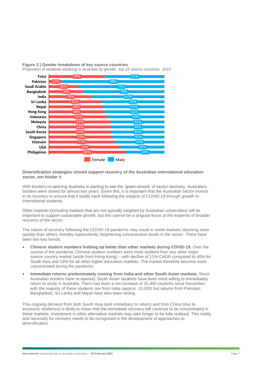

<span id="page-6-0"></span>**Figure 2 | Gender breakdown of key source countries** *Proportion of students studying in Australia by gender, top 15 source countries, 2019*

#### **Diversification strategies should support recovery of the Australian international education sector, not hinder it**

With borders re-opening Australia is starting to see the 'green-shoots' of sector recovery. Australia's borders were closed for almost two years. Given this, it is important that the Australian sector invests in its recovery to ensure that it builds back following the impacts of COVID-19 through growth in international students.

Other markets (including markets that are not typically targeted by Australian universities) will be important to support sustainable growth, but this cannot be a singular focus at the expense of broader recovery of the sector.

The nature of recovery following the COVID-19 pandemic may result in some markets returning more quickly than others, thereby inadvertently heightening concentration levels in the sector. There have been two key trends:

- **Chinese student numbers holding up better than other markets during COVID-19.** Over the course of the pandemic Chinese student numbers were more resilient than any other major source country market (aside from Hong Kong) – with decline of 11% CAGR compared to 40% for South Asia and 19% for all other higher education markets. The market therefore become more concentrated during the pandemic.
- **Immediate returns predominately coming from India and other South Asian markets.** Since Australian borders have re-opened, South Asian students have been most willing to immediately return to study in Australia. There has been a net increase of 15,400 students since December, with the majority of these students are from India (approx. 10,000) but returns from Pakistan, Bangladesh, Sri Lanka and Nepal have also been strong.

This ongoing demand from both South Asia (and immediacy to return) and from China (due to economic resilience) is likely to mean that the immediate recovery will continue to be concentrated in these markets. Investment in other alternative markets may take longer to be fully realised. This reality and necessity for recovery needs to be recognised in the development of approaches to diversification.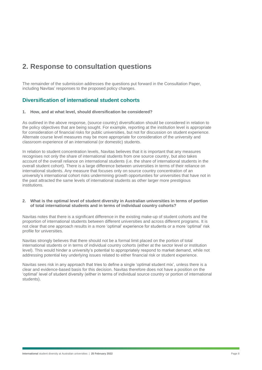# **2. Response to consultation questions**

The remainder of the submission addresses the questions put forward in the Consultation Paper, including Navitas' responses to the proposed policy changes.

## **Diversification of international student cohorts**

#### **1. How, and at what level, should diversification be considered?**

As outlined in the above response, (source country) diversification should be considered in relation to the policy objectives that are being sought. For example, reporting at the institution level is appropriate for consideration of financial risks for public universities, but not for discussion on student experience. Alternate course level measures may be more appropriate for consideration of the university and classroom experience of an international (or domestic) students.

In relation to student concentration levels, Navitas believes that it is important that any measures recognises not only the share of international students from one source country, but also takes account of the overall reliance on international students (i.e. the share of international students in the overall student cohort). There is a large difference between universities in terms of their reliance on international students. Any measure that focuses only on source country concentration of an university's international cohort risks undermining growth opportunities for universities that have not in the past attracted the same levels of international students as other larger more prestigious institutions.

#### **2. What is the optimal level of student diversity in Australian universities in terms of portion of total international students and in terms of individual country cohorts?**

Navitas notes that there is a significant difference in the existing make-up of student cohorts and the proportion of international students between different universities and across different programs. It is not clear that one approach results in a more 'optimal' experience for students or a more 'optimal' risk profile for universities.

Navitas strongly believes that there should not be a formal limit placed on the portion of total international students or in terms of individual country cohorts (either at the sector level or institution level). This would hinder a university's potential to appropriately respond to market demand, while not addressing potential key underlying issues related to either financial risk or student experience.

Navitas sees risk in any approach that tries to define a single 'optimal student mix', unless there is a clear and evidence-based basis for this decision. Navitas therefore does not have a position on the 'optimal' level of student diversity (either in terms of individual source country or portion of international students).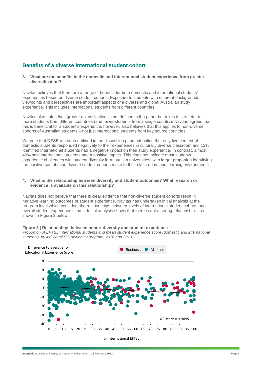## **Benefits of a diverse international student cohort**

**3. What are the benefits in the domestic and international student experience from greater diversification?** 

Navitas believes that there are a range of benefits for both domestic and international students' experiences based on diverse student cohorts. Exposure to students with different backgrounds, viewpoints and perspectives are important aspects of a diverse and global Australian study experience. This includes international students from different countries.

Navitas also notes that 'greater diversification' is not defined in the paper but takes this to refer to more students from different countries (and fewer students from a single country). Navitas agrees that this is beneficial for a student's experience, however, also believes that this applies to non-diverse cohorts of Australian students – not just international students from key source countries.

We note that DESE research outlined in the discussion paper identified that only five percent of domestic students responded negatively to their experiences in culturally diverse classroom and 12% identified international students had a negative impact on their study experience. In contrast, almost 40% said international students had a positive impact. This does not indicate most students experience challenges with student diversity in Australian universities, with larger proportion identifying the positive contribution diverse student cohorts make to their classrooms and learning environments.

#### **4. What is the relationship between diversity and student outcomes? What research or evidence is available on this relationship?**

Navitas does not believe that there is clear evidence that non-diverse student cohorts result in negative learning outcomes or student experience. Navitas has undertaken initial analysis at the program level which considers the relationships between levels of international student cohorts and overall student experience scores. Initial analysis shows that there is not a strong relationship – as shown in [Figure 3](#page-8-0) below.

## <span id="page-8-0"></span>**Figure 3 | Relationships between cohort diversity and student experience**

*Proportion of EFTSL international students and mean student experience score (domestic and international students), by individual UG university program, 2016 and 2019* 

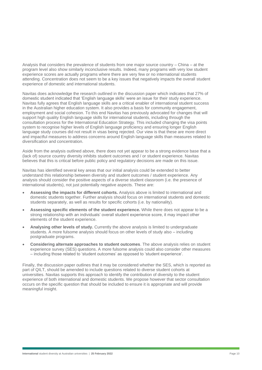Analysis that considers the prevalence of students from one major source country – China – at the program level also show similarly inconclusive results. Indeed, many programs with very low student experience scores are actually programs where there are very few or no international students attending. Concentration does not seem to be a key issues that negatively impacts the overall student experience of domestic and international students.

Navitas does acknowledge the research outlined in the discussion paper which indicates that 27% of domestic student indicated that 'English language skills' were an issue for their study experience. Navitas fully agrees that English language skills are a critical enabler of international student success in the Australian higher education system. It also provides a basis for community engagement, employment and social cohesion. To this end Navitas has previously advocated for changes that will support high quality English language skills for international students, including through the consultation process for the International Education Strategy. This included changing the visa points system to recognise higher levels of English language proficiency and ensuring longer English language study courses did not result in visas being rejected. Our view is that these are more direct and impactful measures to address concerns around English language skills than measures related to diversification and concentration.

Aside from the analysis outlined above, there does not yet appear to be a strong evidence base that a (lack of) source country diversity inhibits student outcomes and / or student experience. Navitas believes that this is critical before public policy and regulatory decisions are made on this issue.

Navitas has identified several key areas that our initial analysis could be extended to better understand this relationship between diversity and student outcomes / student experience. Any analysis should consider the positive aspects of a diverse student classroom (i.e. the presence of international students), not just potentially negative aspects. These are:

- **Assessing the impacts for different cohorts.** Analysis above is limited to international and domestic students together. Further analysis should focus on international students and domestic students separately, as well as results for specific cohorts (i.e. by nationality).
- **Assessing specific elements of the student experience.** While there does not appear to be a strong relationship with an individuals' overall student experience score, it may impact other elements of the student experience.
- **Analysing other levels of study.** Currently the above analysis is limited to undergraduate students. A more fulsome analysis should focus on other levels of study also – including postgraduate programs.
- **Considering alternate approaches to student outcomes**. The above analysis relies on student experience survey (SES) questions. A more fulsome analysis could also consider other measures – including those related to 'student outcomes' as opposed to 'student experience'.

Finally, the discussion paper outlines that it may be considered whether the SES, which is reported as part of QILT, should be amended to include questions related to diverse student cohorts at universities. Navitas supports this approach to identify the contribution of diversity to the student experience of both international and domestic students. We propose however that sector consultation occurs on the specific question that should be included to ensure it is appropriate and will provide meaningful insight.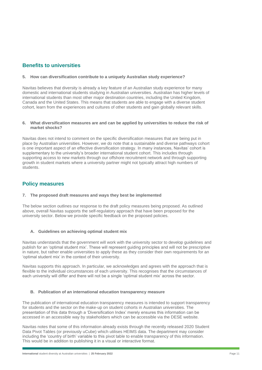## **Benefits to universities**

## **5. How can diversification contribute to a uniquely Australian study experience?**

Navitas believes that diversity is already a key feature of an Australian study experience for many domestic and international students studying in Australian universities. Australian has higher levels of international students than most other major destination countries, including the United Kingdom, Canada and the United States. This means that students are able to engage with a diverse student cohort, learn from the experiences and cultures of other students and gain globally relevant skills.

## **6. What diversification measures are and can be applied by universities to reduce the risk of market shocks?**

Navitas does not intend to comment on the specific diversification measures that are being put in place by Australian universities. However, we do note that a sustainable and diverse pathways cohort is one important aspect of an effective diversification strategy. In many instances, Navitas' cohort is supplementary to the university's broader international student cohort. This includes through supporting access to new markets through our offshore recruitment network and through supporting growth in student markets where a university partner might not typically attract high numbers of students.

## **Policy measures**

## **7. The proposed draft measures and ways they best be implemented**

The below section outlines our response to the draft policy measures being proposed. As outlined above, overall Navitas supports the self-regulatory approach that have been proposed for the university sector. Below we provide specific feedback on the proposed policies.

## **A. Guidelines on achieving optimal student mix**

Navitas understands that the government will work with the university sector to develop guidelines and publish for an 'optimal student mix'. These will represent guiding principles and will not be prescriptive in nature, but rather enable universities to apply these as they consider their own requirements for an 'optimal student mix' in the context of their university.

Navitas supports this approach. In particular, we acknowledges and agrees with the approach that is flexible to the individual circumstances of each university. This recognises that the circumstances of each university will differ and there will not be a single 'optimal student mix' across the sector.

## **B. Publication of an international education transparency measure**

The publication of international education transparency measures is intended to support transparency for students and the sector on the make-up on student cohorts in Australian universities. The presentation of this data through a 'Diversification Index' merely ensures this information can be accessed in an accessible way by stakeholders which can be accessible via the DESE website.

Navitas notes that some of this information already exists through the recently released 2020 Student Data Pivot Tables (or previously uCube) which utilises HEIMS data. The department may consider including the 'country of birth' variable to this pivot table to enable transparency of this information. This would be in addition to publishing it in a visual or interactive format.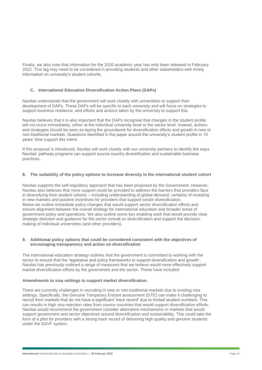Finally, we also note that information for the 2020 academic year has only been released in February 2022. This lag may need to be considered in providing students and other stakeholders with timely information on university's student cohorts.

## **C. International Education Diversification Action Plans (DAPs)**

Navitas understands that the government will work closely with universities to support their development of DAPs. These DAPs will be specific to each university and will focus on strategies to support business resilience, and efforts and actions taken by the university to support this.

Navitas believes that it is also important that the DAPs recognise that changes in the student profile will not occur immediately, either at the individual university level or the sector level. Instead, actions and strategies should be seen as laying the groundwork for diversification efforts and growth in new or non-traditional markets. Questions identified in the paper around the university's student profile in 10 years' time support this intent.

If this proposal is introduced, Navitas will work closely with our university partners to identify the ways Navitas' pathway programs can support source country diversification and sustainable business practices.

#### **8. The suitability of the policy options to increase diversity in the international student cohort**

Navitas supports the self-regulatory approach that has been proposed by the Government. However, Navitas also believes that more support could be provided to address the barriers that providers face in diversifying their student cohorts – including understanding of global demand, certainty of investing in new markets and positive incentives for providers that support sector diversification. Below we outline immediate policy changes that would support sector diversification efforts and ensure alignment between the overall strategy for international education and broader areas of government policy and operations. We also outline some key enabling work that would provide clear strategic direction and guidance for the sector overall on diversification and support the decisionmaking of individual universities (and other providers).

#### **9. Additional policy options that could be considered consistent with the objectives of encouraging transparency and action on diversification**

The international education strategy outlines that the government is committed to working with the sector to ensure that the 'legislative and policy frameworks to support diversification and growth'. Navitas has previously outlined a range of measures that we believe would more effectively support market diversification efforts by the government and the sector. These have included:

## **Amendments to visa settings to support market diversification.**

There are currently challenges in recruiting in new or non-traditional markets due to existing visa settings. Specifically, the Genuine Temporary Entrant assessment (GTE) can make it challenging to recruit from markets that do not have a significant 'track record' due to limited student numbers. This can results in high visa rejection rates from source countries that would support diversification efforts. Navitas would recommend the government consider alternative mechanisms in markets that would support government and sector objectives around diversification and sustainability. This could take the form of a pilot for providers with a strong track record of delivering high quality and genuine students under the SSVF system.